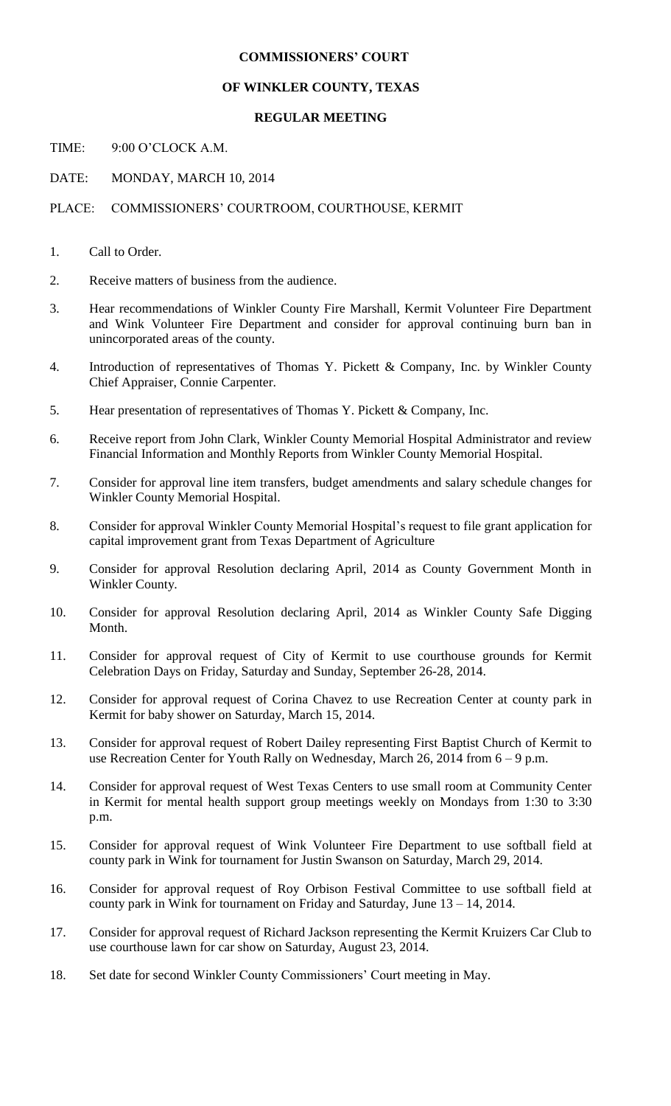## **COMMISSIONERS' COURT**

## **OF WINKLER COUNTY, TEXAS**

## **REGULAR MEETING**

TIME: 9:00 O'CLOCK A.M.

DATE: MONDAY, MARCH 10, 2014

PLACE: COMMISSIONERS' COURTROOM, COURTHOUSE, KERMIT

- 1. Call to Order.
- 2. Receive matters of business from the audience.
- 3. Hear recommendations of Winkler County Fire Marshall, Kermit Volunteer Fire Department and Wink Volunteer Fire Department and consider for approval continuing burn ban in unincorporated areas of the county.
- 4. Introduction of representatives of Thomas Y. Pickett & Company, Inc. by Winkler County Chief Appraiser, Connie Carpenter.
- 5. Hear presentation of representatives of Thomas Y. Pickett & Company, Inc.
- 6. Receive report from John Clark, Winkler County Memorial Hospital Administrator and review Financial Information and Monthly Reports from Winkler County Memorial Hospital.
- 7. Consider for approval line item transfers, budget amendments and salary schedule changes for Winkler County Memorial Hospital.
- 8. Consider for approval Winkler County Memorial Hospital's request to file grant application for capital improvement grant from Texas Department of Agriculture
- 9. Consider for approval Resolution declaring April, 2014 as County Government Month in Winkler County.
- 10. Consider for approval Resolution declaring April, 2014 as Winkler County Safe Digging Month.
- 11. Consider for approval request of City of Kermit to use courthouse grounds for Kermit Celebration Days on Friday, Saturday and Sunday, September 26-28, 2014.
- 12. Consider for approval request of Corina Chavez to use Recreation Center at county park in Kermit for baby shower on Saturday, March 15, 2014.
- 13. Consider for approval request of Robert Dailey representing First Baptist Church of Kermit to use Recreation Center for Youth Rally on Wednesday, March 26, 2014 from 6 – 9 p.m.
- 14. Consider for approval request of West Texas Centers to use small room at Community Center in Kermit for mental health support group meetings weekly on Mondays from 1:30 to 3:30 p.m.
- 15. Consider for approval request of Wink Volunteer Fire Department to use softball field at county park in Wink for tournament for Justin Swanson on Saturday, March 29, 2014.
- 16. Consider for approval request of Roy Orbison Festival Committee to use softball field at county park in Wink for tournament on Friday and Saturday, June 13 – 14, 2014.
- 17. Consider for approval request of Richard Jackson representing the Kermit Kruizers Car Club to use courthouse lawn for car show on Saturday, August 23, 2014.
- 18. Set date for second Winkler County Commissioners' Court meeting in May.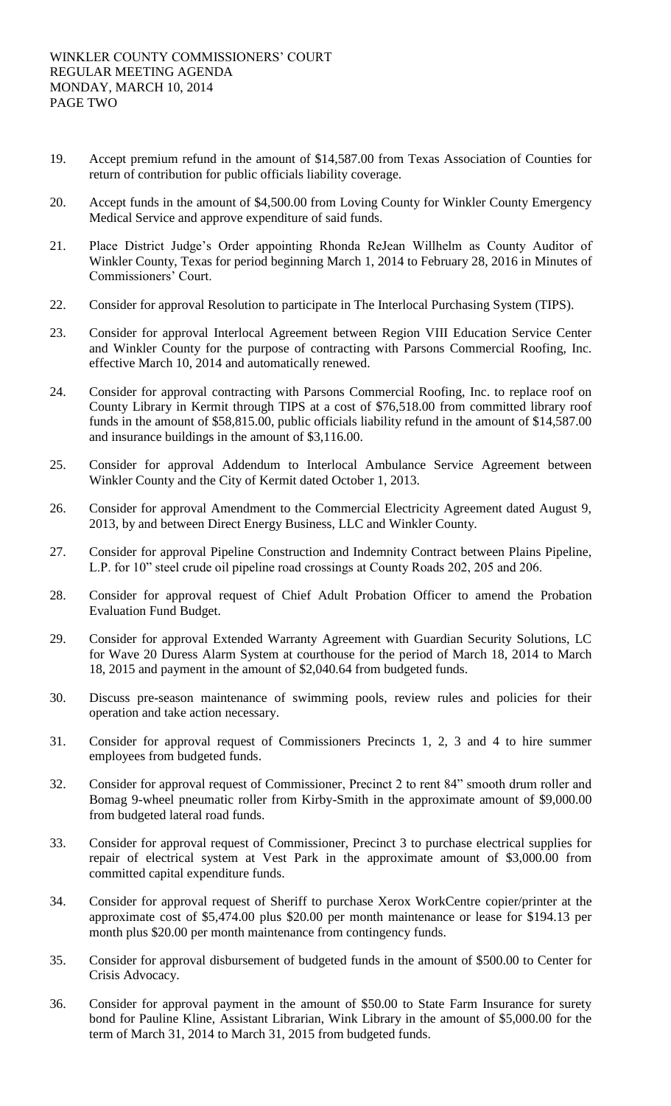- 19. Accept premium refund in the amount of \$14,587.00 from Texas Association of Counties for return of contribution for public officials liability coverage.
- 20. Accept funds in the amount of \$4,500.00 from Loving County for Winkler County Emergency Medical Service and approve expenditure of said funds.
- 21. Place District Judge's Order appointing Rhonda ReJean Willhelm as County Auditor of Winkler County, Texas for period beginning March 1, 2014 to February 28, 2016 in Minutes of Commissioners' Court.
- 22. Consider for approval Resolution to participate in The Interlocal Purchasing System (TIPS).
- 23. Consider for approval Interlocal Agreement between Region VIII Education Service Center and Winkler County for the purpose of contracting with Parsons Commercial Roofing, Inc. effective March 10, 2014 and automatically renewed.
- 24. Consider for approval contracting with Parsons Commercial Roofing, Inc. to replace roof on County Library in Kermit through TIPS at a cost of \$76,518.00 from committed library roof funds in the amount of \$58,815.00, public officials liability refund in the amount of \$14,587.00 and insurance buildings in the amount of \$3,116.00.
- 25. Consider for approval Addendum to Interlocal Ambulance Service Agreement between Winkler County and the City of Kermit dated October 1, 2013.
- 26. Consider for approval Amendment to the Commercial Electricity Agreement dated August 9, 2013, by and between Direct Energy Business, LLC and Winkler County.
- 27. Consider for approval Pipeline Construction and Indemnity Contract between Plains Pipeline, L.P. for 10" steel crude oil pipeline road crossings at County Roads 202, 205 and 206.
- 28. Consider for approval request of Chief Adult Probation Officer to amend the Probation Evaluation Fund Budget.
- 29. Consider for approval Extended Warranty Agreement with Guardian Security Solutions, LC for Wave 20 Duress Alarm System at courthouse for the period of March 18, 2014 to March 18, 2015 and payment in the amount of \$2,040.64 from budgeted funds.
- 30. Discuss pre-season maintenance of swimming pools, review rules and policies for their operation and take action necessary.
- 31. Consider for approval request of Commissioners Precincts 1, 2, 3 and 4 to hire summer employees from budgeted funds.
- 32. Consider for approval request of Commissioner, Precinct 2 to rent 84" smooth drum roller and Bomag 9-wheel pneumatic roller from Kirby-Smith in the approximate amount of \$9,000.00 from budgeted lateral road funds.
- 33. Consider for approval request of Commissioner, Precinct 3 to purchase electrical supplies for repair of electrical system at Vest Park in the approximate amount of \$3,000.00 from committed capital expenditure funds.
- 34. Consider for approval request of Sheriff to purchase Xerox WorkCentre copier/printer at the approximate cost of \$5,474.00 plus \$20.00 per month maintenance or lease for \$194.13 per month plus \$20.00 per month maintenance from contingency funds.
- 35. Consider for approval disbursement of budgeted funds in the amount of \$500.00 to Center for Crisis Advocacy.
- 36. Consider for approval payment in the amount of \$50.00 to State Farm Insurance for surety bond for Pauline Kline, Assistant Librarian, Wink Library in the amount of \$5,000.00 for the term of March 31, 2014 to March 31, 2015 from budgeted funds.